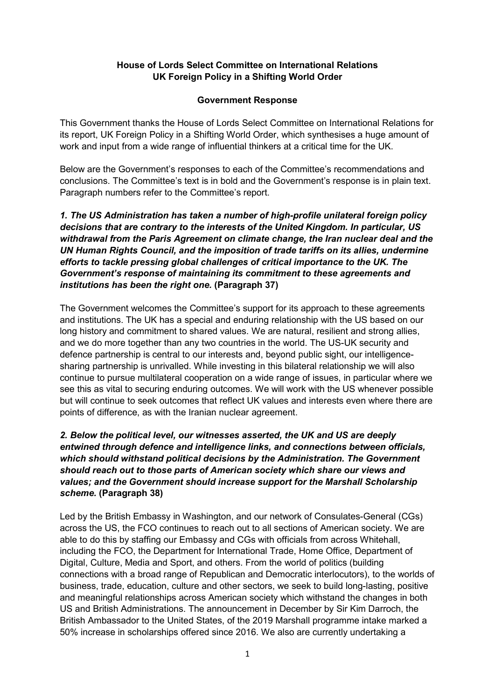#### House of Lords Select Committee on International Relations UK Foreign Policy in a Shifting World Order

#### Government Response

This Government thanks the House of Lords Select Committee on International Relations for its report, UK Foreign Policy in a Shifting World Order, which synthesises a huge amount of work and input from a wide range of influential thinkers at a critical time for the UK.

Below are the Government's responses to each of the Committee's recommendations and conclusions. The Committee's text is in bold and the Government's response is in plain text. Paragraph numbers refer to the Committee's report.

1. The US Administration has taken a number of high-profile unilateral foreign policy decisions that are contrary to the interests of the United Kingdom. In particular, US withdrawal from the Paris Agreement on climate change, the Iran nuclear deal and the UN Human Rights Council, and the imposition of trade tariffs on its allies, undermine efforts to tackle pressing global challenges of critical importance to the UK. The Government's response of maintaining its commitment to these agreements and institutions has been the right one. (Paragraph 37)

The Government welcomes the Committee's support for its approach to these agreements and institutions. The UK has a special and enduring relationship with the US based on our long history and commitment to shared values. We are natural, resilient and strong allies, and we do more together than any two countries in the world. The US-UK security and defence partnership is central to our interests and, beyond public sight, our intelligencesharing partnership is unrivalled. While investing in this bilateral relationship we will also continue to pursue multilateral cooperation on a wide range of issues, in particular where we see this as vital to securing enduring outcomes. We will work with the US whenever possible but will continue to seek outcomes that reflect UK values and interests even where there are points of difference, as with the Iranian nuclear agreement.

# 2. Below the political level, our witnesses asserted, the UK and US are deeply entwined through defence and intelligence links, and connections between officials, which should withstand political decisions by the Administration. The Government should reach out to those parts of American society which share our views and values; and the Government should increase support for the Marshall Scholarship scheme. (Paragraph 38)

Led by the British Embassy in Washington, and our network of Consulates-General (CGs) across the US, the FCO continues to reach out to all sections of American society. We are able to do this by staffing our Embassy and CGs with officials from across Whitehall, including the FCO, the Department for International Trade, Home Office, Department of Digital, Culture, Media and Sport, and others. From the world of politics (building connections with a broad range of Republican and Democratic interlocutors), to the worlds of business, trade, education, culture and other sectors, we seek to build long-lasting, positive and meaningful relationships across American society which withstand the changes in both US and British Administrations. The announcement in December by Sir Kim Darroch, the British Ambassador to the United States, of the 2019 Marshall programme intake marked a 50% increase in scholarships offered since 2016. We also are currently undertaking a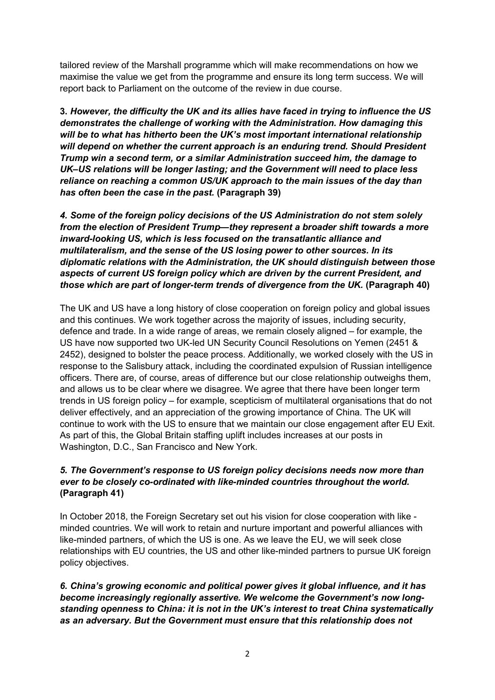tailored review of the Marshall programme which will make recommendations on how we maximise the value we get from the programme and ensure its long term success. We will report back to Parliament on the outcome of the review in due course.

3. However, the difficulty the UK and its allies have faced in trying to influence the US demonstrates the challenge of working with the Administration. How damaging this will be to what has hitherto been the UK's most important international relationship will depend on whether the current approach is an enduring trend. Should President Trump win a second term, or a similar Administration succeed him, the damage to UK–US relations will be longer lasting; and the Government will need to place less reliance on reaching a common US/UK approach to the main issues of the day than has often been the case in the past. (Paragraph 39)

4. Some of the foreign policy decisions of the US Administration do not stem solely from the election of President Trump—they represent a broader shift towards a more inward-looking US, which is less focused on the transatlantic alliance and multilateralism, and the sense of the US losing power to other sources. In its diplomatic relations with the Administration, the UK should distinguish between those aspects of current US foreign policy which are driven by the current President, and those which are part of longer-term trends of divergence from the UK. (Paragraph 40)

The UK and US have a long history of close cooperation on foreign policy and global issues and this continues. We work together across the majority of issues, including security, defence and trade. In a wide range of areas, we remain closely aligned – for example, the US have now supported two UK-led UN Security Council Resolutions on Yemen (2451 & 2452), designed to bolster the peace process. Additionally, we worked closely with the US in response to the Salisbury attack, including the coordinated expulsion of Russian intelligence officers. There are, of course, areas of difference but our close relationship outweighs them, and allows us to be clear where we disagree. We agree that there have been longer term trends in US foreign policy – for example, scepticism of multilateral organisations that do not deliver effectively, and an appreciation of the growing importance of China. The UK will continue to work with the US to ensure that we maintain our close engagement after EU Exit. As part of this, the Global Britain staffing uplift includes increases at our posts in Washington, D.C., San Francisco and New York.

# 5. The Government's response to US foreign policy decisions needs now more than ever to be closely co-ordinated with like-minded countries throughout the world. (Paragraph 41)

In October 2018, the Foreign Secretary set out his vision for close cooperation with like minded countries. We will work to retain and nurture important and powerful alliances with like-minded partners, of which the US is one. As we leave the EU, we will seek close relationships with EU countries, the US and other like-minded partners to pursue UK foreign policy objectives.

6. China's growing economic and political power gives it global influence, and it has become increasingly regionally assertive. We welcome the Government's now longstanding openness to China: it is not in the UK's interest to treat China systematically as an adversary. But the Government must ensure that this relationship does not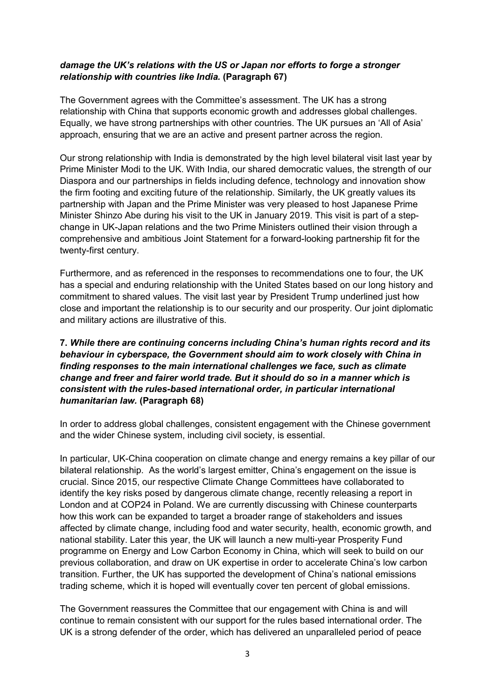#### damage the UK's relations with the US or Japan nor efforts to forge a stronger relationship with countries like India. (Paragraph 67)

The Government agrees with the Committee's assessment. The UK has a strong relationship with China that supports economic growth and addresses global challenges. Equally, we have strong partnerships with other countries. The UK pursues an 'All of Asia' approach, ensuring that we are an active and present partner across the region.

Our strong relationship with India is demonstrated by the high level bilateral visit last year by Prime Minister Modi to the UK. With India, our shared democratic values, the strength of our Diaspora and our partnerships in fields including defence, technology and innovation show the firm footing and exciting future of the relationship. Similarly, the UK greatly values its partnership with Japan and the Prime Minister was very pleased to host Japanese Prime Minister Shinzo Abe during his visit to the UK in January 2019. This visit is part of a stepchange in UK-Japan relations and the two Prime Ministers outlined their vision through a comprehensive and ambitious Joint Statement for a forward-looking partnership fit for the twenty-first century.

Furthermore, and as referenced in the responses to recommendations one to four, the UK has a special and enduring relationship with the United States based on our long history and commitment to shared values. The visit last year by President Trump underlined just how close and important the relationship is to our security and our prosperity. Our joint diplomatic and military actions are illustrative of this.

## 7. While there are continuing concerns including China's human rights record and its behaviour in cyberspace, the Government should aim to work closely with China in finding responses to the main international challenges we face, such as climate change and freer and fairer world trade. But it should do so in a manner which is consistent with the rules-based international order, in particular international humanitarian law. (Paragraph 68)

In order to address global challenges, consistent engagement with the Chinese government and the wider Chinese system, including civil society, is essential.

In particular, UK-China cooperation on climate change and energy remains a key pillar of our bilateral relationship. As the world's largest emitter, China's engagement on the issue is crucial. Since 2015, our respective Climate Change Committees have collaborated to identify the key risks posed by dangerous climate change, recently releasing a report in London and at COP24 in Poland. We are currently discussing with Chinese counterparts how this work can be expanded to target a broader range of stakeholders and issues affected by climate change, including food and water security, health, economic growth, and national stability. Later this year, the UK will launch a new multi-year Prosperity Fund programme on Energy and Low Carbon Economy in China, which will seek to build on our previous collaboration, and draw on UK expertise in order to accelerate China's low carbon transition. Further, the UK has supported the development of China's national emissions trading scheme, which it is hoped will eventually cover ten percent of global emissions.

The Government reassures the Committee that our engagement with China is and will continue to remain consistent with our support for the rules based international order. The UK is a strong defender of the order, which has delivered an unparalleled period of peace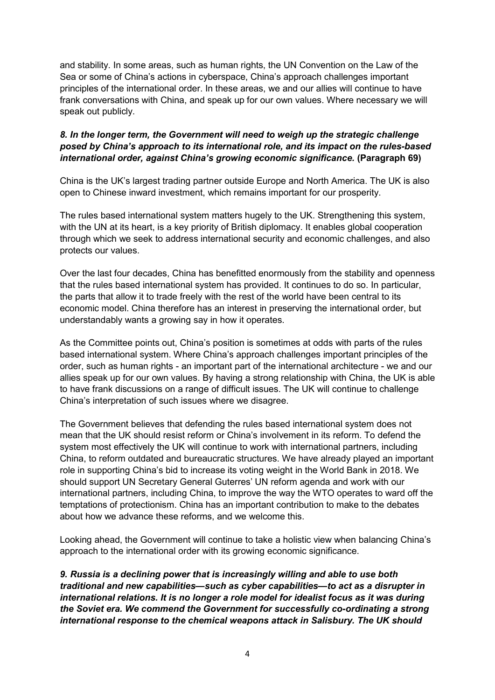and stability. In some areas, such as human rights, the UN Convention on the Law of the Sea or some of China's actions in cyberspace, China's approach challenges important principles of the international order. In these areas, we and our allies will continue to have frank conversations with China, and speak up for our own values. Where necessary we will speak out publicly.

## 8. In the longer term, the Government will need to weigh up the strategic challenge posed by China's approach to its international role, and its impact on the rules-based international order, against China's growing economic significance. (Paragraph 69)

China is the UK's largest trading partner outside Europe and North America. The UK is also open to Chinese inward investment, which remains important for our prosperity.

The rules based international system matters hugely to the UK. Strengthening this system, with the UN at its heart, is a key priority of British diplomacy. It enables global cooperation through which we seek to address international security and economic challenges, and also protects our values.

Over the last four decades, China has benefitted enormously from the stability and openness that the rules based international system has provided. It continues to do so. In particular, the parts that allow it to trade freely with the rest of the world have been central to its economic model. China therefore has an interest in preserving the international order, but understandably wants a growing say in how it operates.

As the Committee points out, China's position is sometimes at odds with parts of the rules based international system. Where China's approach challenges important principles of the order, such as human rights - an important part of the international architecture - we and our allies speak up for our own values. By having a strong relationship with China, the UK is able to have frank discussions on a range of difficult issues. The UK will continue to challenge China's interpretation of such issues where we disagree.

The Government believes that defending the rules based international system does not mean that the UK should resist reform or China's involvement in its reform. To defend the system most effectively the UK will continue to work with international partners, including China, to reform outdated and bureaucratic structures. We have already played an important role in supporting China's bid to increase its voting weight in the World Bank in 2018. We should support UN Secretary General Guterres' UN reform agenda and work with our international partners, including China, to improve the way the WTO operates to ward off the temptations of protectionism. China has an important contribution to make to the debates about how we advance these reforms, and we welcome this.

Looking ahead, the Government will continue to take a holistic view when balancing China's approach to the international order with its growing economic significance.

9. Russia is a declining power that is increasingly willing and able to use both traditional and new capabilities—such as cyber capabilities—to act as a disrupter in international relations. It is no longer a role model for idealist focus as it was during the Soviet era. We commend the Government for successfully co-ordinating a strong international response to the chemical weapons attack in Salisbury. The UK should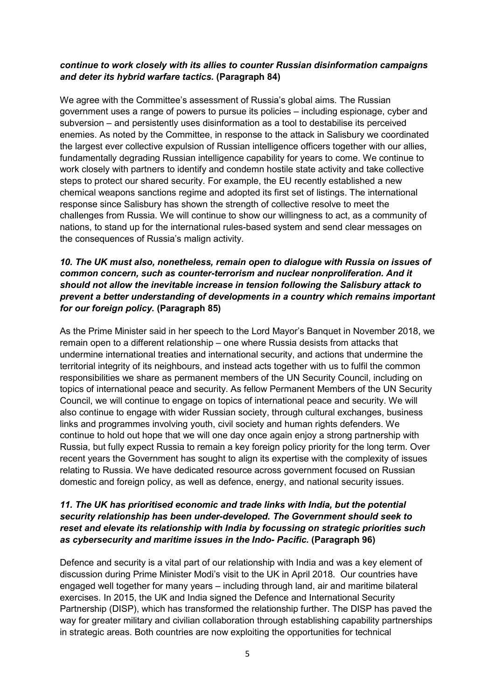#### continue to work closely with its allies to counter Russian disinformation campaigns and deter its hybrid warfare tactics. (Paragraph 84)

We agree with the Committee's assessment of Russia's global aims. The Russian government uses a range of powers to pursue its policies – including espionage, cyber and subversion – and persistently uses disinformation as a tool to destabilise its perceived enemies. As noted by the Committee, in response to the attack in Salisbury we coordinated the largest ever collective expulsion of Russian intelligence officers together with our allies, fundamentally degrading Russian intelligence capability for years to come. We continue to work closely with partners to identify and condemn hostile state activity and take collective steps to protect our shared security. For example, the EU recently established a new chemical weapons sanctions regime and adopted its first set of listings. The international response since Salisbury has shown the strength of collective resolve to meet the challenges from Russia. We will continue to show our willingness to act, as a community of nations, to stand up for the international rules-based system and send clear messages on the consequences of Russia's malign activity.

## 10. The UK must also, nonetheless, remain open to dialogue with Russia on issues of common concern, such as counter-terrorism and nuclear nonproliferation. And it should not allow the inevitable increase in tension following the Salisbury attack to prevent a better understanding of developments in a country which remains important for our foreign policy. (Paragraph 85)

As the Prime Minister said in her speech to the Lord Mayor's Banquet in November 2018, we remain open to a different relationship – one where Russia desists from attacks that undermine international treaties and international security, and actions that undermine the territorial integrity of its neighbours, and instead acts together with us to fulfil the common responsibilities we share as permanent members of the UN Security Council, including on topics of international peace and security. As fellow Permanent Members of the UN Security Council, we will continue to engage on topics of international peace and security. We will also continue to engage with wider Russian society, through cultural exchanges, business links and programmes involving youth, civil society and human rights defenders. We continue to hold out hope that we will one day once again enjoy a strong partnership with Russia, but fully expect Russia to remain a key foreign policy priority for the long term. Over recent years the Government has sought to align its expertise with the complexity of issues relating to Russia. We have dedicated resource across government focused on Russian domestic and foreign policy, as well as defence, energy, and national security issues.

#### 11. The UK has prioritised economic and trade links with India, but the potential security relationship has been under-developed. The Government should seek to reset and elevate its relationship with India by focussing on strategic priorities such as cybersecurity and maritime issues in the Indo- Pacific. (Paragraph 96)

Defence and security is a vital part of our relationship with India and was a key element of discussion during Prime Minister Modi's visit to the UK in April 2018. Our countries have engaged well together for many years – including through land, air and maritime bilateral exercises. In 2015, the UK and India signed the Defence and International Security Partnership (DISP), which has transformed the relationship further. The DISP has paved the way for greater military and civilian collaboration through establishing capability partnerships in strategic areas. Both countries are now exploiting the opportunities for technical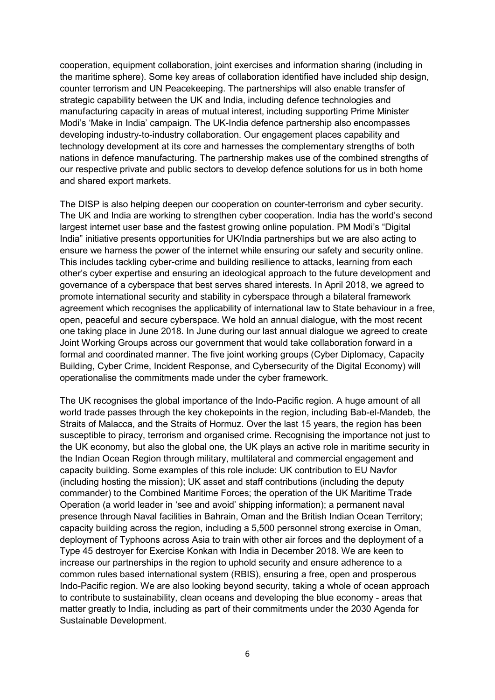cooperation, equipment collaboration, joint exercises and information sharing (including in the maritime sphere). Some key areas of collaboration identified have included ship design, counter terrorism and UN Peacekeeping. The partnerships will also enable transfer of strategic capability between the UK and India, including defence technologies and manufacturing capacity in areas of mutual interest, including supporting Prime Minister Modi's 'Make in India' campaign. The UK-India defence partnership also encompasses developing industry-to-industry collaboration. Our engagement places capability and technology development at its core and harnesses the complementary strengths of both nations in defence manufacturing. The partnership makes use of the combined strengths of our respective private and public sectors to develop defence solutions for us in both home and shared export markets.

The DISP is also helping deepen our cooperation on counter-terrorism and cyber security. The UK and India are working to strengthen cyber cooperation. India has the world's second largest internet user base and the fastest growing online population. PM Modi's "Digital India" initiative presents opportunities for UK/India partnerships but we are also acting to ensure we harness the power of the internet while ensuring our safety and security online. This includes tackling cyber-crime and building resilience to attacks, learning from each other's cyber expertise and ensuring an ideological approach to the future development and governance of a cyberspace that best serves shared interests. In April 2018, we agreed to promote international security and stability in cyberspace through a bilateral framework agreement which recognises the applicability of international law to State behaviour in a free, open, peaceful and secure cyberspace. We hold an annual dialogue, with the most recent one taking place in June 2018. In June during our last annual dialogue we agreed to create Joint Working Groups across our government that would take collaboration forward in a formal and coordinated manner. The five joint working groups (Cyber Diplomacy, Capacity Building, Cyber Crime, Incident Response, and Cybersecurity of the Digital Economy) will operationalise the commitments made under the cyber framework.

The UK recognises the global importance of the Indo-Pacific region. A huge amount of all world trade passes through the key chokepoints in the region, including Bab-el-Mandeb, the Straits of Malacca, and the Straits of Hormuz. Over the last 15 years, the region has been susceptible to piracy, terrorism and organised crime. Recognising the importance not just to the UK economy, but also the global one, the UK plays an active role in maritime security in the Indian Ocean Region through military, multilateral and commercial engagement and capacity building. Some examples of this role include: UK contribution to EU Navfor (including hosting the mission); UK asset and staff contributions (including the deputy commander) to the Combined Maritime Forces; the operation of the UK Maritime Trade Operation (a world leader in 'see and avoid' shipping information); a permanent naval presence through Naval facilities in Bahrain, Oman and the British Indian Ocean Territory; capacity building across the region, including a 5,500 personnel strong exercise in Oman, deployment of Typhoons across Asia to train with other air forces and the deployment of a Type 45 destroyer for Exercise Konkan with India in December 2018. We are keen to increase our partnerships in the region to uphold security and ensure adherence to a common rules based international system (RBIS), ensuring a free, open and prosperous Indo-Pacific region. We are also looking beyond security, taking a whole of ocean approach to contribute to sustainability, clean oceans and developing the blue economy - areas that matter greatly to India, including as part of their commitments under the 2030 Agenda for Sustainable Development.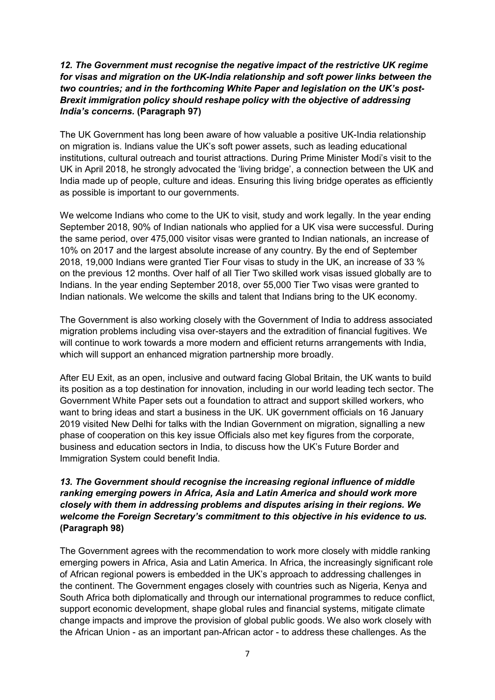### 12. The Government must recognise the negative impact of the restrictive UK regime for visas and migration on the UK-India relationship and soft power links between the two countries; and in the forthcoming White Paper and legislation on the UK's post-Brexit immigration policy should reshape policy with the objective of addressing India's concerns. (Paragraph 97)

The UK Government has long been aware of how valuable a positive UK-India relationship on migration is. Indians value the UK's soft power assets, such as leading educational institutions, cultural outreach and tourist attractions. During Prime Minister Modi's visit to the UK in April 2018, he strongly advocated the 'living bridge', a connection between the UK and India made up of people, culture and ideas. Ensuring this living bridge operates as efficiently as possible is important to our governments.

We welcome Indians who come to the UK to visit, study and work legally. In the year ending September 2018, 90% of Indian nationals who applied for a UK visa were successful. During the same period, over 475,000 visitor visas were granted to Indian nationals, an increase of 10% on 2017 and the largest absolute increase of any country. By the end of September 2018, 19,000 Indians were granted Tier Four visas to study in the UK, an increase of 33 % on the previous 12 months. Over half of all Tier Two skilled work visas issued globally are to Indians. In the year ending September 2018, over 55,000 Tier Two visas were granted to Indian nationals. We welcome the skills and talent that Indians bring to the UK economy.

The Government is also working closely with the Government of India to address associated migration problems including visa over-stayers and the extradition of financial fugitives. We will continue to work towards a more modern and efficient returns arrangements with India, which will support an enhanced migration partnership more broadly.

After EU Exit, as an open, inclusive and outward facing Global Britain, the UK wants to build its position as a top destination for innovation, including in our world leading tech sector. The Government White Paper sets out a foundation to attract and support skilled workers, who want to bring ideas and start a business in the UK. UK government officials on 16 January 2019 visited New Delhi for talks with the Indian Government on migration, signalling a new phase of cooperation on this key issue Officials also met key figures from the corporate, business and education sectors in India, to discuss how the UK's Future Border and Immigration System could benefit India.

# 13. The Government should recognise the increasing regional influence of middle ranking emerging powers in Africa, Asia and Latin America and should work more closely with them in addressing problems and disputes arising in their regions. We welcome the Foreign Secretary's commitment to this objective in his evidence to us. (Paragraph 98)

The Government agrees with the recommendation to work more closely with middle ranking emerging powers in Africa, Asia and Latin America. In Africa, the increasingly significant role of African regional powers is embedded in the UK's approach to addressing challenges in the continent. The Government engages closely with countries such as Nigeria, Kenya and South Africa both diplomatically and through our international programmes to reduce conflict, support economic development, shape global rules and financial systems, mitigate climate change impacts and improve the provision of global public goods. We also work closely with the African Union - as an important pan-African actor - to address these challenges. As the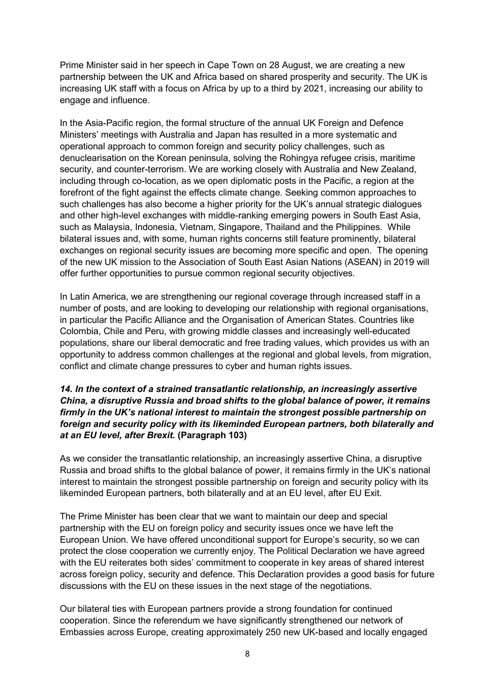Prime Minister said in her speech in Cape Town on 28 August, we are creating a new partnership between the UK and Africa based on shared prosperity and security. The UK is increasing UK staff with a focus on Africa by up to a third by 2021, increasing our ability to engage and influence.

In the Asia-Pacific region, the formal structure of the annual UK Foreign and Defence Ministers' meetings with Australia and Japan has resulted in a more systematic and operational approach to common foreign and security policy challenges, such as denuclearisation on the Korean peninsula, solving the Rohingya refugee crisis, maritime security, and counter-terrorism. We are working closely with Australia and New Zealand, including through co-location, as we open diplomatic posts in the Pacific, a region at the forefront of the fight against the effects climate change. Seeking common approaches to such challenges has also become a higher priority for the UK's annual strategic dialogues and other high-level exchanges with middle-ranking emerging powers in South East Asia, such as Malaysia, Indonesia, Vietnam, Singapore, Thailand and the Philippines. While bilateral issues and, with some, human rights concerns still feature prominently, bilateral exchanges on regional security issues are becoming more specific and open. The opening of the new UK mission to the Association of South East Asian Nations (ASEAN) in 2019 will offer further opportunities to pursue common regional security objectives.

In Latin America, we are strengthening our regional coverage through increased staff in a number of posts, and are looking to developing our relationship with regional organisations, in particular the Pacific Alliance and the Organisation of American States. Countries like Colombia, Chile and Peru, with growing middle classes and increasingly well-educated populations, share our liberal democratic and free trading values, which provides us with an opportunity to address common challenges at the regional and global levels, from migration, conflict and climate change pressures to cyber and human rights issues.

### 14. In the context of a strained transatlantic relationship, an increasingly assertive China, a disruptive Russia and broad shifts to the global balance of power, it remains firmly in the UK's national interest to maintain the strongest possible partnership on foreign and security policy with its likeminded European partners, both bilaterally and at an EU level, after Brexit. (Paragraph 103)

As we consider the transatlantic relationship, an increasingly assertive China, a disruptive Russia and broad shifts to the global balance of power, it remains firmly in the UK's national interest to maintain the strongest possible partnership on foreign and security policy with its likeminded European partners, both bilaterally and at an EU level, after EU Exit.

The Prime Minister has been clear that we want to maintain our deep and special partnership with the EU on foreign policy and security issues once we have left the European Union. We have offered unconditional support for Europe's security, so we can protect the close cooperation we currently enjoy. The Political Declaration we have agreed with the EU reiterates both sides' commitment to cooperate in key areas of shared interest across foreign policy, security and defence. This Declaration provides a good basis for future discussions with the EU on these issues in the next stage of the negotiations.

Our bilateral ties with European partners provide a strong foundation for continued cooperation. Since the referendum we have significantly strengthened our network of Embassies across Europe, creating approximately 250 new UK-based and locally engaged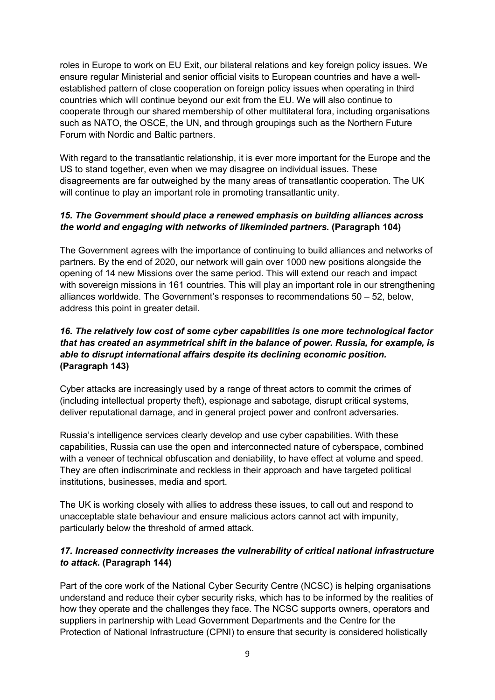roles in Europe to work on EU Exit, our bilateral relations and key foreign policy issues. We ensure regular Ministerial and senior official visits to European countries and have a wellestablished pattern of close cooperation on foreign policy issues when operating in third countries which will continue beyond our exit from the EU. We will also continue to cooperate through our shared membership of other multilateral fora, including organisations such as NATO, the OSCE, the UN, and through groupings such as the Northern Future Forum with Nordic and Baltic partners.

With regard to the transatlantic relationship, it is ever more important for the Europe and the US to stand together, even when we may disagree on individual issues. These disagreements are far outweighed by the many areas of transatlantic cooperation. The UK will continue to play an important role in promoting transatlantic unity.

# 15. The Government should place a renewed emphasis on building alliances across the world and engaging with networks of likeminded partners. (Paragraph 104)

The Government agrees with the importance of continuing to build alliances and networks of partners. By the end of 2020, our network will gain over 1000 new positions alongside the opening of 14 new Missions over the same period. This will extend our reach and impact with sovereign missions in 161 countries. This will play an important role in our strengthening alliances worldwide. The Government's responses to recommendations  $50 - 52$ , below, address this point in greater detail.

## 16. The relatively low cost of some cyber capabilities is one more technological factor that has created an asymmetrical shift in the balance of power. Russia, for example, is able to disrupt international affairs despite its declining economic position. (Paragraph 143)

Cyber attacks are increasingly used by a range of threat actors to commit the crimes of (including intellectual property theft), espionage and sabotage, disrupt critical systems, deliver reputational damage, and in general project power and confront adversaries.

Russia's intelligence services clearly develop and use cyber capabilities. With these capabilities, Russia can use the open and interconnected nature of cyberspace, combined with a veneer of technical obfuscation and deniability, to have effect at volume and speed. They are often indiscriminate and reckless in their approach and have targeted political institutions, businesses, media and sport.

The UK is working closely with allies to address these issues, to call out and respond to unacceptable state behaviour and ensure malicious actors cannot act with impunity, particularly below the threshold of armed attack.

# 17. Increased connectivity increases the vulnerability of critical national infrastructure to attack. (Paragraph 144)

Part of the core work of the National Cyber Security Centre (NCSC) is helping organisations understand and reduce their cyber security risks, which has to be informed by the realities of how they operate and the challenges they face. The NCSC supports owners, operators and suppliers in partnership with Lead Government Departments and the Centre for the Protection of National Infrastructure (CPNI) to ensure that security is considered holistically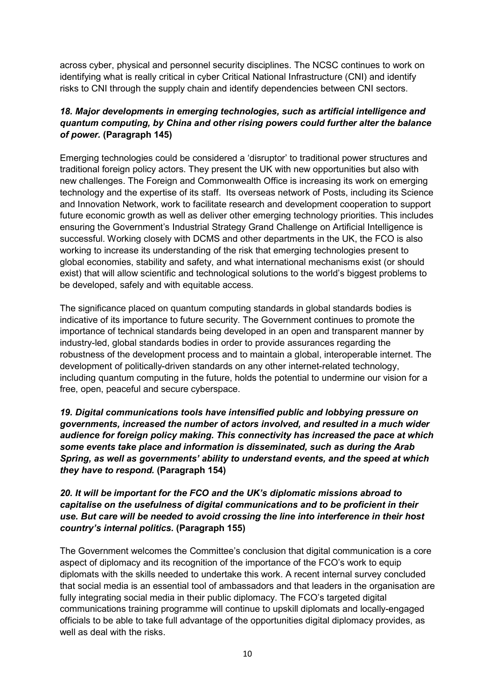across cyber, physical and personnel security disciplines. The NCSC continues to work on identifying what is really critical in cyber Critical National Infrastructure (CNI) and identify risks to CNI through the supply chain and identify dependencies between CNI sectors.

## 18. Major developments in emerging technologies, such as artificial intelligence and quantum computing, by China and other rising powers could further alter the balance of power. (Paragraph 145)

Emerging technologies could be considered a 'disruptor' to traditional power structures and traditional foreign policy actors. They present the UK with new opportunities but also with new challenges. The Foreign and Commonwealth Office is increasing its work on emerging technology and the expertise of its staff. Its overseas network of Posts, including its Science and Innovation Network, work to facilitate research and development cooperation to support future economic growth as well as deliver other emerging technology priorities. This includes ensuring the Government's Industrial Strategy Grand Challenge on Artificial Intelligence is successful. Working closely with DCMS and other departments in the UK, the FCO is also working to increase its understanding of the risk that emerging technologies present to global economies, stability and safety, and what international mechanisms exist (or should exist) that will allow scientific and technological solutions to the world's biggest problems to be developed, safely and with equitable access.

The significance placed on quantum computing standards in global standards bodies is indicative of its importance to future security. The Government continues to promote the importance of technical standards being developed in an open and transparent manner by industry-led, global standards bodies in order to provide assurances regarding the robustness of the development process and to maintain a global, interoperable internet. The development of politically-driven standards on any other internet-related technology, including quantum computing in the future, holds the potential to undermine our vision for a free, open, peaceful and secure cyberspace.

19. Digital communications tools have intensified public and lobbying pressure on governments, increased the number of actors involved, and resulted in a much wider audience for foreign policy making. This connectivity has increased the pace at which some events take place and information is disseminated, such as during the Arab Spring, as well as governments' ability to understand events, and the speed at which they have to respond. (Paragraph 154)

# 20. It will be important for the FCO and the UK's diplomatic missions abroad to capitalise on the usefulness of digital communications and to be proficient in their use. But care will be needed to avoid crossing the line into interference in their host country's internal politics. (Paragraph 155)

The Government welcomes the Committee's conclusion that digital communication is a core aspect of diplomacy and its recognition of the importance of the FCO's work to equip diplomats with the skills needed to undertake this work. A recent internal survey concluded that social media is an essential tool of ambassadors and that leaders in the organisation are fully integrating social media in their public diplomacy. The FCO's targeted digital communications training programme will continue to upskill diplomats and locally-engaged officials to be able to take full advantage of the opportunities digital diplomacy provides, as well as deal with the risks.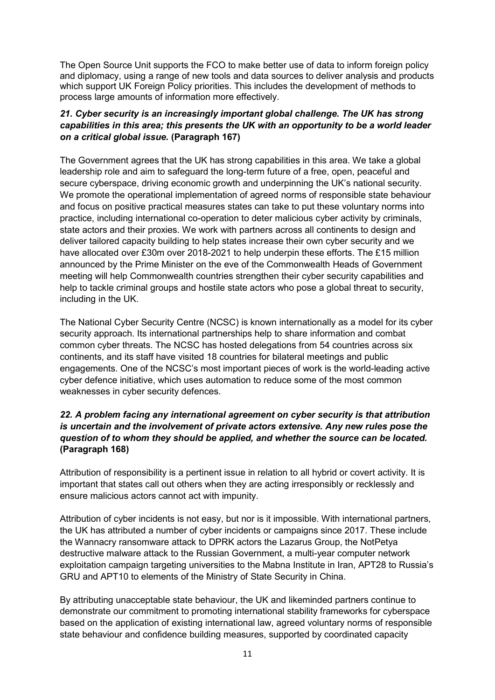The Open Source Unit supports the FCO to make better use of data to inform foreign policy and diplomacy, using a range of new tools and data sources to deliver analysis and products which support UK Foreign Policy priorities. This includes the development of methods to process large amounts of information more effectively.

## 21. Cyber security is an increasingly important global challenge. The UK has strong capabilities in this area; this presents the UK with an opportunity to be a world leader on a critical global issue. (Paragraph 167)

The Government agrees that the UK has strong capabilities in this area. We take a global leadership role and aim to safeguard the long-term future of a free, open, peaceful and secure cyberspace, driving economic growth and underpinning the UK's national security. We promote the operational implementation of agreed norms of responsible state behaviour and focus on positive practical measures states can take to put these voluntary norms into practice, including international co-operation to deter malicious cyber activity by criminals, state actors and their proxies. We work with partners across all continents to design and deliver tailored capacity building to help states increase their own cyber security and we have allocated over £30m over 2018-2021 to help underpin these efforts. The £15 million announced by the Prime Minister on the eve of the Commonwealth Heads of Government meeting will help Commonwealth countries strengthen their cyber security capabilities and help to tackle criminal groups and hostile state actors who pose a global threat to security, including in the UK.

The National Cyber Security Centre (NCSC) is known internationally as a model for its cyber security approach. Its international partnerships help to share information and combat common cyber threats. The NCSC has hosted delegations from 54 countries across six continents, and its staff have visited 18 countries for bilateral meetings and public engagements. One of the NCSC's most important pieces of work is the world-leading active cyber defence initiative, which uses automation to reduce some of the most common weaknesses in cyber security defences.

# 22. A problem facing any international agreement on cyber security is that attribution is uncertain and the involvement of private actors extensive. Any new rules pose the question of to whom they should be applied, and whether the source can be located. (Paragraph 168)

Attribution of responsibility is a pertinent issue in relation to all hybrid or covert activity. It is important that states call out others when they are acting irresponsibly or recklessly and ensure malicious actors cannot act with impunity.

Attribution of cyber incidents is not easy, but nor is it impossible. With international partners, the UK has attributed a number of cyber incidents or campaigns since 2017. These include the Wannacry ransomware attack to DPRK actors the Lazarus Group, the NotPetya destructive malware attack to the Russian Government, a multi-year computer network exploitation campaign targeting universities to the Mabna Institute in Iran, APT28 to Russia's GRU and APT10 to elements of the Ministry of State Security in China.

By attributing unacceptable state behaviour, the UK and likeminded partners continue to demonstrate our commitment to promoting international stability frameworks for cyberspace based on the application of existing international law, agreed voluntary norms of responsible state behaviour and confidence building measures, supported by coordinated capacity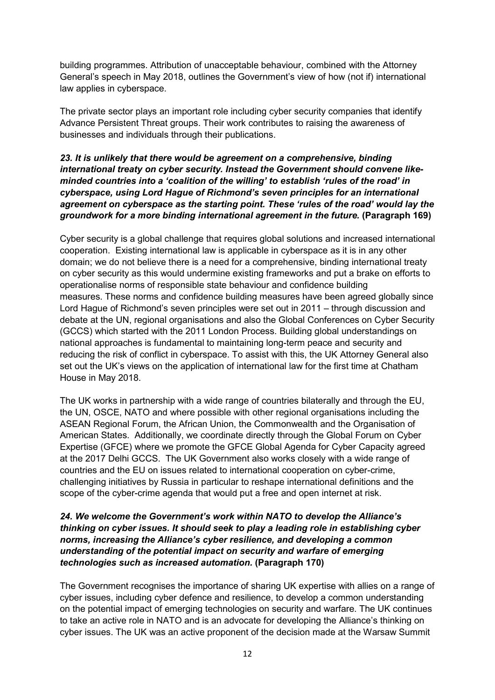building programmes. Attribution of unacceptable behaviour, combined with the Attorney General's speech in May 2018, outlines the Government's view of how (not if) international law applies in cyberspace.

The private sector plays an important role including cyber security companies that identify Advance Persistent Threat groups. Their work contributes to raising the awareness of businesses and individuals through their publications.

#### 23. It is unlikely that there would be agreement on a comprehensive, binding international treaty on cyber security. Instead the Government should convene likeminded countries into a 'coalition of the willing' to establish 'rules of the road' in cyberspace, using Lord Hague of Richmond's seven principles for an international agreement on cyberspace as the starting point. These 'rules of the road' would lay the groundwork for a more binding international agreement in the future. (Paragraph 169)

Cyber security is a global challenge that requires global solutions and increased international cooperation. Existing international law is applicable in cyberspace as it is in any other domain; we do not believe there is a need for a comprehensive, binding international treaty on cyber security as this would undermine existing frameworks and put a brake on efforts to operationalise norms of responsible state behaviour and confidence building measures. These norms and confidence building measures have been agreed globally since Lord Hague of Richmond's seven principles were set out in 2011 – through discussion and debate at the UN, regional organisations and also the Global Conferences on Cyber Security (GCCS) which started with the 2011 London Process. Building global understandings on national approaches is fundamental to maintaining long-term peace and security and reducing the risk of conflict in cyberspace. To assist with this, the UK Attorney General also set out the UK's views on the application of international law for the first time at Chatham House in May 2018.

The UK works in partnership with a wide range of countries bilaterally and through the EU, the UN, OSCE, NATO and where possible with other regional organisations including the ASEAN Regional Forum, the African Union, the Commonwealth and the Organisation of American States. Additionally, we coordinate directly through the Global Forum on Cyber Expertise (GFCE) where we promote the GFCE Global Agenda for Cyber Capacity agreed at the 2017 Delhi GCCS. The UK Government also works closely with a wide range of countries and the EU on issues related to international cooperation on cyber-crime, challenging initiatives by Russia in particular to reshape international definitions and the scope of the cyber-crime agenda that would put a free and open internet at risk.

#### 24. We welcome the Government's work within NATO to develop the Alliance's thinking on cyber issues. It should seek to play a leading role in establishing cyber norms, increasing the Alliance's cyber resilience, and developing a common understanding of the potential impact on security and warfare of emerging technologies such as increased automation. (Paragraph 170)

The Government recognises the importance of sharing UK expertise with allies on a range of cyber issues, including cyber defence and resilience, to develop a common understanding on the potential impact of emerging technologies on security and warfare. The UK continues to take an active role in NATO and is an advocate for developing the Alliance's thinking on cyber issues. The UK was an active proponent of the decision made at the Warsaw Summit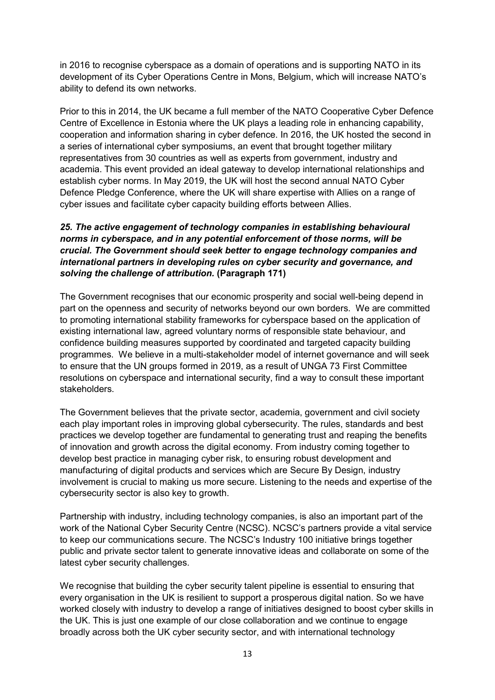in 2016 to recognise cyberspace as a domain of operations and is supporting NATO in its development of its Cyber Operations Centre in Mons, Belgium, which will increase NATO's ability to defend its own networks.

Prior to this in 2014, the UK became a full member of the NATO Cooperative Cyber Defence Centre of Excellence in Estonia where the UK plays a leading role in enhancing capability, cooperation and information sharing in cyber defence. In 2016, the UK hosted the second in a series of international cyber symposiums, an event that brought together military representatives from 30 countries as well as experts from government, industry and academia. This event provided an ideal gateway to develop international relationships and establish cyber norms. In May 2019, the UK will host the second annual NATO Cyber Defence Pledge Conference, where the UK will share expertise with Allies on a range of cyber issues and facilitate cyber capacity building efforts between Allies.

### 25. The active engagement of technology companies in establishing behavioural norms in cyberspace, and in any potential enforcement of those norms, will be crucial. The Government should seek better to engage technology companies and international partners in developing rules on cyber security and governance, and solving the challenge of attribution. (Paragraph 171)

The Government recognises that our economic prosperity and social well-being depend in part on the openness and security of networks beyond our own borders. We are committed to promoting international stability frameworks for cyberspace based on the application of existing international law, agreed voluntary norms of responsible state behaviour, and confidence building measures supported by coordinated and targeted capacity building programmes. We believe in a multi-stakeholder model of internet governance and will seek to ensure that the UN groups formed in 2019, as a result of UNGA 73 First Committee resolutions on cyberspace and international security, find a way to consult these important stakeholders.

The Government believes that the private sector, academia, government and civil society each play important roles in improving global cybersecurity. The rules, standards and best practices we develop together are fundamental to generating trust and reaping the benefits of innovation and growth across the digital economy. From industry coming together to develop best practice in managing cyber risk, to ensuring robust development and manufacturing of digital products and services which are Secure By Design, industry involvement is crucial to making us more secure. Listening to the needs and expertise of the cybersecurity sector is also key to growth.

Partnership with industry, including technology companies, is also an important part of the work of the National Cyber Security Centre (NCSC). NCSC's partners provide a vital service to keep our communications secure. The NCSC's Industry 100 initiative brings together public and private sector talent to generate innovative ideas and collaborate on some of the latest cyber security challenges.

We recognise that building the cyber security talent pipeline is essential to ensuring that every organisation in the UK is resilient to support a prosperous digital nation. So we have worked closely with industry to develop a range of initiatives designed to boost cyber skills in the UK. This is just one example of our close collaboration and we continue to engage broadly across both the UK cyber security sector, and with international technology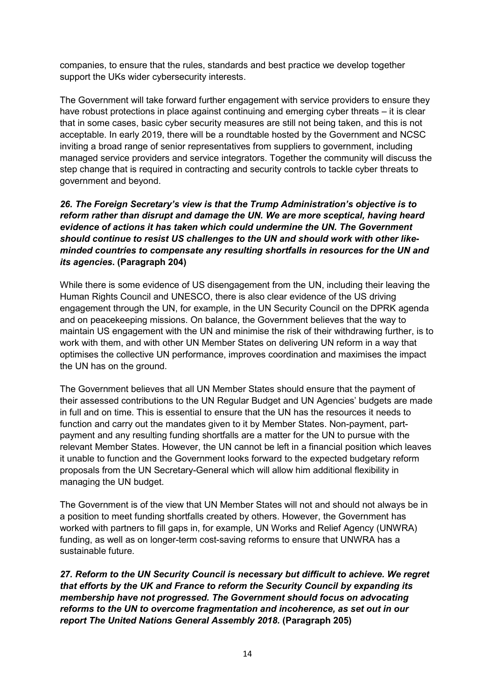companies, to ensure that the rules, standards and best practice we develop together support the UKs wider cybersecurity interests.

The Government will take forward further engagement with service providers to ensure they have robust protections in place against continuing and emerging cyber threats – it is clear that in some cases, basic cyber security measures are still not being taken, and this is not acceptable. In early 2019, there will be a roundtable hosted by the Government and NCSC inviting a broad range of senior representatives from suppliers to government, including managed service providers and service integrators. Together the community will discuss the step change that is required in contracting and security controls to tackle cyber threats to government and beyond.

26. The Foreign Secretary's view is that the Trump Administration's objective is to reform rather than disrupt and damage the UN. We are more sceptical, having heard evidence of actions it has taken which could undermine the UN. The Government should continue to resist US challenges to the UN and should work with other likeminded countries to compensate any resulting shortfalls in resources for the UN and its agencies. (Paragraph 204)

While there is some evidence of US disengagement from the UN, including their leaving the Human Rights Council and UNESCO, there is also clear evidence of the US driving engagement through the UN, for example, in the UN Security Council on the DPRK agenda and on peacekeeping missions. On balance, the Government believes that the way to maintain US engagement with the UN and minimise the risk of their withdrawing further, is to work with them, and with other UN Member States on delivering UN reform in a way that optimises the collective UN performance, improves coordination and maximises the impact the UN has on the ground.

The Government believes that all UN Member States should ensure that the payment of their assessed contributions to the UN Regular Budget and UN Agencies' budgets are made in full and on time. This is essential to ensure that the UN has the resources it needs to function and carry out the mandates given to it by Member States. Non-payment, partpayment and any resulting funding shortfalls are a matter for the UN to pursue with the relevant Member States. However, the UN cannot be left in a financial position which leaves it unable to function and the Government looks forward to the expected budgetary reform proposals from the UN Secretary-General which will allow him additional flexibility in managing the UN budget.

The Government is of the view that UN Member States will not and should not always be in a position to meet funding shortfalls created by others. However, the Government has worked with partners to fill gaps in, for example, UN Works and Relief Agency (UNWRA) funding, as well as on longer-term cost-saving reforms to ensure that UNWRA has a sustainable future.

27. Reform to the UN Security Council is necessary but difficult to achieve. We regret that efforts by the UK and France to reform the Security Council by expanding its membership have not progressed. The Government should focus on advocating reforms to the UN to overcome fragmentation and incoherence, as set out in our report The United Nations General Assembly 2018. (Paragraph 205)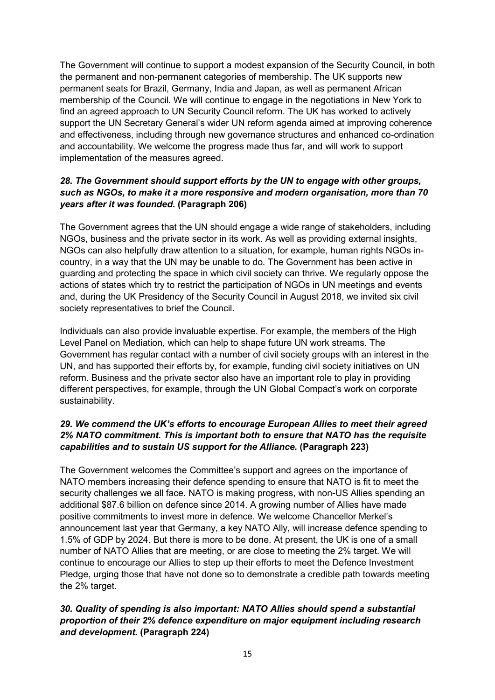The Government will continue to support a modest expansion of the Security Council, in both the permanent and non-permanent categories of membership. The UK supports new permanent seats for Brazil, Germany, India and Japan, as well as permanent African membership of the Council. We will continue to engage in the negotiations in New York to find an agreed approach to UN Security Council reform. The UK has worked to actively support the UN Secretary General's wider UN reform agenda aimed at improving coherence and effectiveness, including through new governance structures and enhanced co-ordination and accountability. We welcome the progress made thus far, and will work to support implementation of the measures agreed.

# 28. The Government should support efforts by the UN to engage with other groups, such as NGOs, to make it a more responsive and modern organisation, more than 70 years after it was founded. (Paragraph 206)

The Government agrees that the UN should engage a wide range of stakeholders, including NGOs, business and the private sector in its work. As well as providing external insights, NGOs can also helpfully draw attention to a situation, for example, human rights NGOs incountry, in a way that the UN may be unable to do. The Government has been active in guarding and protecting the space in which civil society can thrive. We regularly oppose the actions of states which try to restrict the participation of NGOs in UN meetings and events and, during the UK Presidency of the Security Council in August 2018, we invited six civil society representatives to brief the Council.

Individuals can also provide invaluable expertise. For example, the members of the High Level Panel on Mediation, which can help to shape future UN work streams. The Government has regular contact with a number of civil society groups with an interest in the UN, and has supported their efforts by, for example, funding civil society initiatives on UN reform. Business and the private sector also have an important role to play in providing different perspectives, for example, through the UN Global Compact's work on corporate sustainability.

# 29. We commend the UK's efforts to encourage European Allies to meet their agreed 2% NATO commitment. This is important both to ensure that NATO has the requisite capabilities and to sustain US support for the Alliance. (Paragraph 223)

The Government welcomes the Committee's support and agrees on the importance of NATO members increasing their defence spending to ensure that NATO is fit to meet the security challenges we all face. NATO is making progress, with non-US Allies spending an additional \$87.6 billion on defence since 2014. A growing number of Allies have made positive commitments to invest more in defence. We welcome Chancellor Merkel's announcement last year that Germany, a key NATO Ally, will increase defence spending to 1.5% of GDP by 2024. But there is more to be done. At present, the UK is one of a small number of NATO Allies that are meeting, or are close to meeting the 2% target. We will continue to encourage our Allies to step up their efforts to meet the Defence Investment Pledge, urging those that have not done so to demonstrate a credible path towards meeting the 2% target.

# 30. Quality of spending is also important: NATO Allies should spend a substantial proportion of their 2% defence expenditure on major equipment including research and development. (Paragraph 224)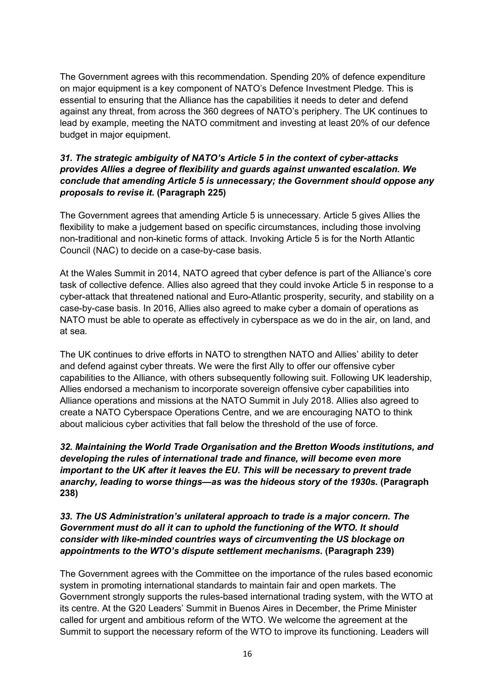The Government agrees with this recommendation. Spending 20% of defence expenditure on major equipment is a key component of NATO's Defence Investment Pledge. This is essential to ensuring that the Alliance has the capabilities it needs to deter and defend against any threat, from across the 360 degrees of NATO's periphery. The UK continues to lead by example, meeting the NATO commitment and investing at least 20% of our defence budget in major equipment.

# 31. The strategic ambiguity of NATO's Article 5 in the context of cyber-attacks provides Allies a degree of flexibility and guards against unwanted escalation. We conclude that amending Article 5 is unnecessary; the Government should oppose any proposals to revise it. (Paragraph 225)

The Government agrees that amending Article 5 is unnecessary. Article 5 gives Allies the flexibility to make a judgement based on specific circumstances, including those involving non-traditional and non-kinetic forms of attack. Invoking Article 5 is for the North Atlantic Council (NAC) to decide on a case-by-case basis.

At the Wales Summit in 2014, NATO agreed that cyber defence is part of the Alliance's core task of collective defence. Allies also agreed that they could invoke Article 5 in response to a cyber-attack that threatened national and Euro-Atlantic prosperity, security, and stability on a case-by-case basis. In 2016, Allies also agreed to make cyber a domain of operations as NATO must be able to operate as effectively in cyberspace as we do in the air, on land, and at sea.

The UK continues to drive efforts in NATO to strengthen NATO and Allies' ability to deter and defend against cyber threats. We were the first Ally to offer our offensive cyber capabilities to the Alliance, with others subsequently following suit. Following UK leadership, Allies endorsed a mechanism to incorporate sovereign offensive cyber capabilities into Alliance operations and missions at the NATO Summit in July 2018. Allies also agreed to create a NATO Cyberspace Operations Centre, and we are encouraging NATO to think about malicious cyber activities that fall below the threshold of the use of force.

# 32. Maintaining the World Trade Organisation and the Bretton Woods institutions, and developing the rules of international trade and finance, will become even more important to the UK after it leaves the EU. This will be necessary to prevent trade anarchy, leading to worse things—as was the hideous story of the 1930s. (Paragraph 238)

### 33. The US Administration's unilateral approach to trade is a major concern. The Government must do all it can to uphold the functioning of the WTO. It should consider with like-minded countries ways of circumventing the US blockage on appointments to the WTO's dispute settlement mechanisms. (Paragraph 239)

The Government agrees with the Committee on the importance of the rules based economic system in promoting international standards to maintain fair and open markets. The Government strongly supports the rules-based international trading system, with the WTO at its centre. At the G20 Leaders' Summit in Buenos Aires in December, the Prime Minister called for urgent and ambitious reform of the WTO. We welcome the agreement at the Summit to support the necessary reform of the WTO to improve its functioning. Leaders will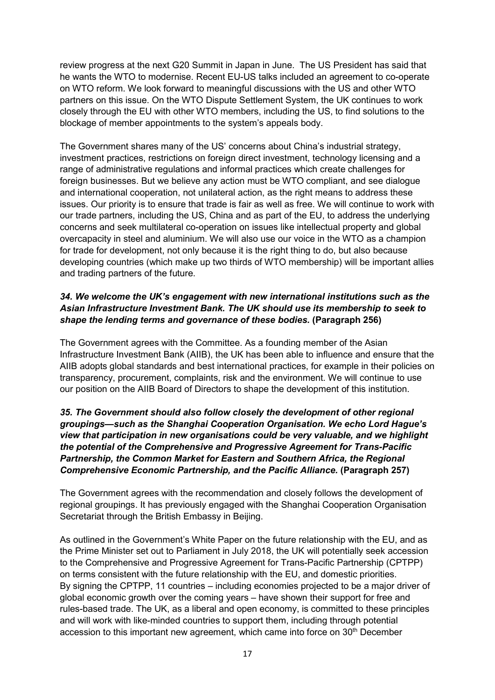review progress at the next G20 Summit in Japan in June. The US President has said that he wants the WTO to modernise. Recent EU-US talks included an agreement to co-operate on WTO reform. We look forward to meaningful discussions with the US and other WTO partners on this issue. On the WTO Dispute Settlement System, the UK continues to work closely through the EU with other WTO members, including the US, to find solutions to the blockage of member appointments to the system's appeals body.

The Government shares many of the US' concerns about China's industrial strategy, investment practices, restrictions on foreign direct investment, technology licensing and a range of administrative regulations and informal practices which create challenges for foreign businesses. But we believe any action must be WTO compliant, and see dialogue and international cooperation, not unilateral action, as the right means to address these issues. Our priority is to ensure that trade is fair as well as free. We will continue to work with our trade partners, including the US, China and as part of the EU, to address the underlying concerns and seek multilateral co-operation on issues like intellectual property and global overcapacity in steel and aluminium. We will also use our voice in the WTO as a champion for trade for development, not only because it is the right thing to do, but also because developing countries (which make up two thirds of WTO membership) will be important allies and trading partners of the future.

# 34. We welcome the UK's engagement with new international institutions such as the Asian Infrastructure Investment Bank. The UK should use its membership to seek to shape the lending terms and governance of these bodies. (Paragraph 256)

The Government agrees with the Committee. As a founding member of the Asian Infrastructure Investment Bank (AIIB), the UK has been able to influence and ensure that the AIIB adopts global standards and best international practices, for example in their policies on transparency, procurement, complaints, risk and the environment. We will continue to use our position on the AIIB Board of Directors to shape the development of this institution.

## 35. The Government should also follow closely the development of other regional groupings—such as the Shanghai Cooperation Organisation. We echo Lord Hague's view that participation in new organisations could be very valuable, and we highlight the potential of the Comprehensive and Progressive Agreement for Trans-Pacific Partnership, the Common Market for Eastern and Southern Africa, the Regional Comprehensive Economic Partnership, and the Pacific Alliance. (Paragraph 257)

The Government agrees with the recommendation and closely follows the development of regional groupings. It has previously engaged with the Shanghai Cooperation Organisation Secretariat through the British Embassy in Beijing.

As outlined in the Government's White Paper on the future relationship with the EU, and as the Prime Minister set out to Parliament in July 2018, the UK will potentially seek accession to the Comprehensive and Progressive Agreement for Trans-Pacific Partnership (CPTPP) on terms consistent with the future relationship with the EU, and domestic priorities. By signing the CPTPP, 11 countries – including economies projected to be a major driver of global economic growth over the coming years – have shown their support for free and rules-based trade. The UK, as a liberal and open economy, is committed to these principles and will work with like-minded countries to support them, including through potential accession to this important new agreement, which came into force on 30<sup>th</sup> December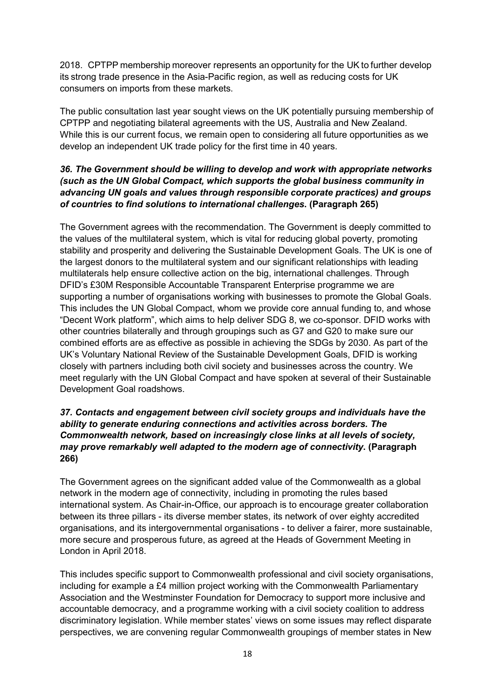2018. CPTPP membership moreover represents an opportunity for the UK to further develop its strong trade presence in the Asia-Pacific region, as well as reducing costs for UK consumers on imports from these markets. 

The public consultation last year sought views on the UK potentially pursuing membership of CPTPP and negotiating bilateral agreements with the US, Australia and New Zealand. While this is our current focus, we remain open to considering all future opportunities as we develop an independent UK trade policy for the first time in 40 years.

## 36. The Government should be willing to develop and work with appropriate networks (such as the UN Global Compact, which supports the global business community in advancing UN goals and values through responsible corporate practices) and groups of countries to find solutions to international challenges. (Paragraph 265)

The Government agrees with the recommendation. The Government is deeply committed to the values of the multilateral system, which is vital for reducing global poverty, promoting stability and prosperity and delivering the Sustainable Development Goals. The UK is one of the largest donors to the multilateral system and our significant relationships with leading multilaterals help ensure collective action on the big, international challenges. Through DFID's £30M Responsible Accountable Transparent Enterprise programme we are supporting a number of organisations working with businesses to promote the Global Goals. This includes the UN Global Compact, whom we provide core annual funding to, and whose "Decent Work platform", which aims to help deliver SDG 8, we co-sponsor. DFID works with other countries bilaterally and through groupings such as G7 and G20 to make sure our combined efforts are as effective as possible in achieving the SDGs by 2030. As part of the UK's Voluntary National Review of the Sustainable Development Goals, DFID is working closely with partners including both civil society and businesses across the country. We meet regularly with the UN Global Compact and have spoken at several of their Sustainable Development Goal roadshows.

### 37. Contacts and engagement between civil society groups and individuals have the ability to generate enduring connections and activities across borders. The Commonwealth network, based on increasingly close links at all levels of society, may prove remarkably well adapted to the modern age of connectivity. (Paragraph 266)

The Government agrees on the significant added value of the Commonwealth as a global network in the modern age of connectivity, including in promoting the rules based international system. As Chair-in-Office, our approach is to encourage greater collaboration between its three pillars - its diverse member states, its network of over eighty accredited organisations, and its intergovernmental organisations - to deliver a fairer, more sustainable, more secure and prosperous future, as agreed at the Heads of Government Meeting in London in April 2018.

This includes specific support to Commonwealth professional and civil society organisations, including for example a £4 million project working with the Commonwealth Parliamentary Association and the Westminster Foundation for Democracy to support more inclusive and accountable democracy, and a programme working with a civil society coalition to address discriminatory legislation. While member states' views on some issues may reflect disparate perspectives, we are convening regular Commonwealth groupings of member states in New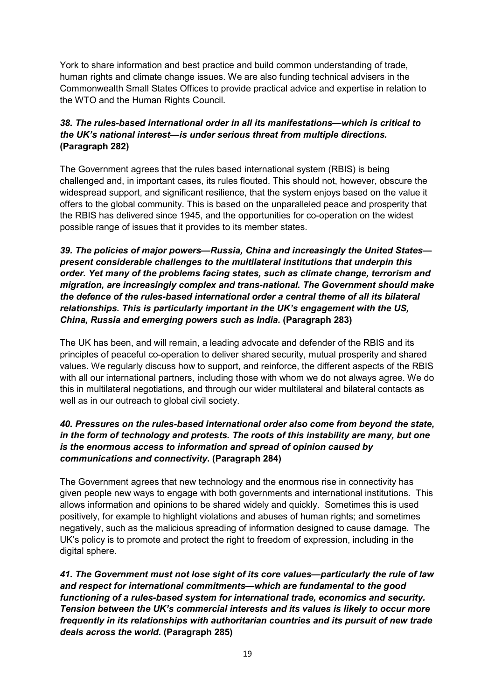York to share information and best practice and build common understanding of trade, human rights and climate change issues. We are also funding technical advisers in the Commonwealth Small States Offices to provide practical advice and expertise in relation to the WTO and the Human Rights Council.

# 38. The rules-based international order in all its manifestations—which is critical to the UK's national interest—is under serious threat from multiple directions. (Paragraph 282)

The Government agrees that the rules based international system (RBIS) is being challenged and, in important cases, its rules flouted. This should not, however, obscure the widespread support, and significant resilience, that the system enjoys based on the value it offers to the global community. This is based on the unparalleled peace and prosperity that the RBIS has delivered since 1945, and the opportunities for co-operation on the widest possible range of issues that it provides to its member states.

39. The policies of major powers—Russia, China and increasingly the United States present considerable challenges to the multilateral institutions that underpin this order. Yet many of the problems facing states, such as climate change, terrorism and migration, are increasingly complex and trans-national. The Government should make the defence of the rules-based international order a central theme of all its bilateral relationships. This is particularly important in the UK's engagement with the US, China, Russia and emerging powers such as India. (Paragraph 283)

The UK has been, and will remain, a leading advocate and defender of the RBIS and its principles of peaceful co-operation to deliver shared security, mutual prosperity and shared values. We regularly discuss how to support, and reinforce, the different aspects of the RBIS with all our international partners, including those with whom we do not always agree. We do this in multilateral negotiations, and through our wider multilateral and bilateral contacts as well as in our outreach to global civil society.

# 40. Pressures on the rules-based international order also come from beyond the state, in the form of technology and protests. The roots of this instability are many, but one is the enormous access to information and spread of opinion caused by communications and connectivity. (Paragraph 284)

The Government agrees that new technology and the enormous rise in connectivity has given people new ways to engage with both governments and international institutions. This allows information and opinions to be shared widely and quickly. Sometimes this is used positively, for example to highlight violations and abuses of human rights; and sometimes negatively, such as the malicious spreading of information designed to cause damage. The UK's policy is to promote and protect the right to freedom of expression, including in the digital sphere.

41. The Government must not lose sight of its core values—particularly the rule of law and respect for international commitments—which are fundamental to the good functioning of a rules-based system for international trade, economics and security. Tension between the UK's commercial interests and its values is likely to occur more frequently in its relationships with authoritarian countries and its pursuit of new trade deals across the world. (Paragraph 285)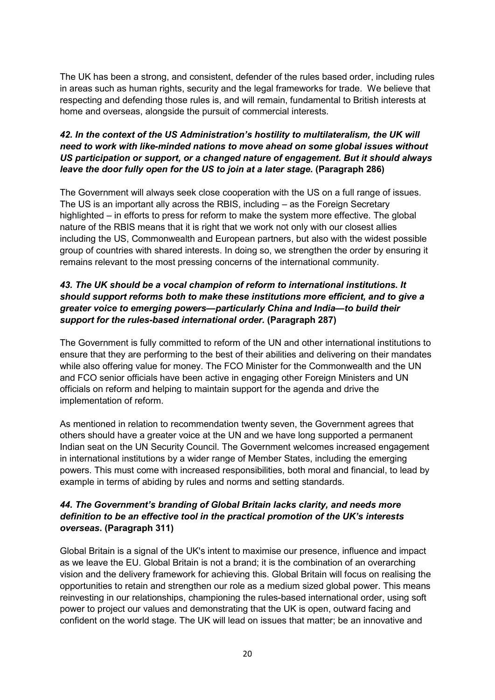The UK has been a strong, and consistent, defender of the rules based order, including rules in areas such as human rights, security and the legal frameworks for trade. We believe that respecting and defending those rules is, and will remain, fundamental to British interests at home and overseas, alongside the pursuit of commercial interests.

# 42. In the context of the US Administration's hostility to multilateralism, the UK will need to work with like-minded nations to move ahead on some global issues without US participation or support, or a changed nature of engagement. But it should always leave the door fully open for the US to join at a later stage. (Paragraph 286)

The Government will always seek close cooperation with the US on a full range of issues. The US is an important ally across the RBIS, including – as the Foreign Secretary highlighted – in efforts to press for reform to make the system more effective. The global nature of the RBIS means that it is right that we work not only with our closest allies including the US, Commonwealth and European partners, but also with the widest possible group of countries with shared interests. In doing so, we strengthen the order by ensuring it remains relevant to the most pressing concerns of the international community.

# 43. The UK should be a vocal champion of reform to international institutions. It should support reforms both to make these institutions more efficient, and to give a greater voice to emerging powers—particularly China and India—to build their support for the rules-based international order. (Paragraph 287)

The Government is fully committed to reform of the UN and other international institutions to ensure that they are performing to the best of their abilities and delivering on their mandates while also offering value for money. The FCO Minister for the Commonwealth and the UN and FCO senior officials have been active in engaging other Foreign Ministers and UN officials on reform and helping to maintain support for the agenda and drive the implementation of reform.

As mentioned in relation to recommendation twenty seven, the Government agrees that others should have a greater voice at the UN and we have long supported a permanent Indian seat on the UN Security Council. The Government welcomes increased engagement in international institutions by a wider range of Member States, including the emerging powers. This must come with increased responsibilities, both moral and financial, to lead by example in terms of abiding by rules and norms and setting standards.

# 44. The Government's branding of Global Britain lacks clarity, and needs more definition to be an effective tool in the practical promotion of the UK's interests overseas. (Paragraph 311)

Global Britain is a signal of the UK's intent to maximise our presence, influence and impact as we leave the EU. Global Britain is not a brand; it is the combination of an overarching vision and the delivery framework for achieving this. Global Britain will focus on realising the opportunities to retain and strengthen our role as a medium sized global power. This means reinvesting in our relationships, championing the rules-based international order, using soft power to project our values and demonstrating that the UK is open, outward facing and confident on the world stage. The UK will lead on issues that matter; be an innovative and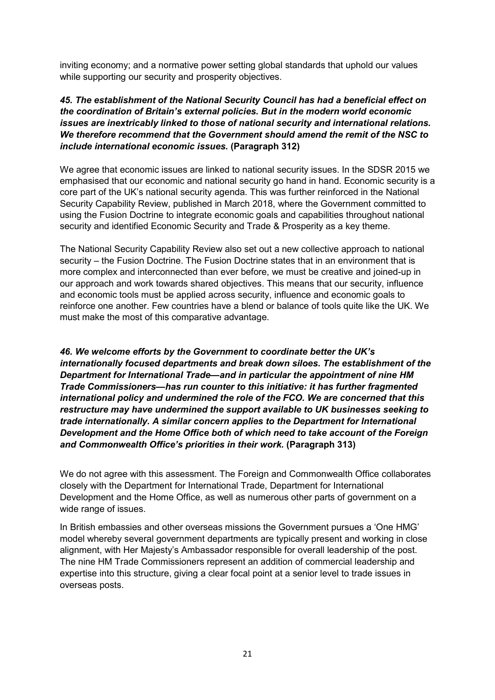inviting economy; and a normative power setting global standards that uphold our values while supporting our security and prosperity objectives.

### 45. The establishment of the National Security Council has had a beneficial effect on the coordination of Britain's external policies. But in the modern world economic issues are inextricably linked to those of national security and international relations. We therefore recommend that the Government should amend the remit of the NSC to include international economic issues. (Paragraph 312)

We agree that economic issues are linked to national security issues. In the SDSR 2015 we emphasised that our economic and national security go hand in hand. Economic security is a core part of the UK's national security agenda. This was further reinforced in the National Security Capability Review, published in March 2018, where the Government committed to using the Fusion Doctrine to integrate economic goals and capabilities throughout national security and identified Economic Security and Trade & Prosperity as a key theme.

The National Security Capability Review also set out a new collective approach to national security – the Fusion Doctrine. The Fusion Doctrine states that in an environment that is more complex and interconnected than ever before, we must be creative and joined-up in our approach and work towards shared objectives. This means that our security, influence and economic tools must be applied across security, influence and economic goals to reinforce one another. Few countries have a blend or balance of tools quite like the UK. We must make the most of this comparative advantage.

46. We welcome efforts by the Government to coordinate better the UK's internationally focused departments and break down siloes. The establishment of the Department for International Trade—and in particular the appointment of nine HM Trade Commissioners—has run counter to this initiative: it has further fragmented international policy and undermined the role of the FCO. We are concerned that this restructure may have undermined the support available to UK businesses seeking to trade internationally. A similar concern applies to the Department for International Development and the Home Office both of which need to take account of the Foreign and Commonwealth Office's priorities in their work. (Paragraph 313)

We do not agree with this assessment. The Foreign and Commonwealth Office collaborates closely with the Department for International Trade, Department for International Development and the Home Office, as well as numerous other parts of government on a wide range of issues.

In British embassies and other overseas missions the Government pursues a 'One HMG' model whereby several government departments are typically present and working in close alignment, with Her Majesty's Ambassador responsible for overall leadership of the post. The nine HM Trade Commissioners represent an addition of commercial leadership and expertise into this structure, giving a clear focal point at a senior level to trade issues in overseas posts.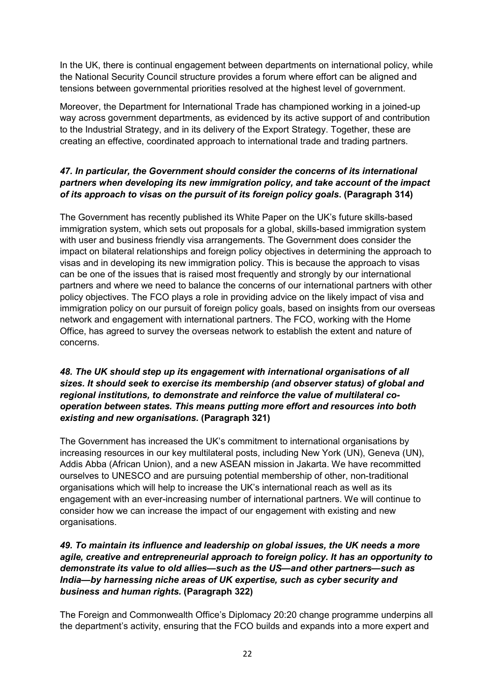In the UK, there is continual engagement between departments on international policy, while the National Security Council structure provides a forum where effort can be aligned and tensions between governmental priorities resolved at the highest level of government.

Moreover, the Department for International Trade has championed working in a joined-up way across government departments, as evidenced by its active support of and contribution to the Industrial Strategy, and in its delivery of the Export Strategy. Together, these are creating an effective, coordinated approach to international trade and trading partners.

# 47. In particular, the Government should consider the concerns of its international partners when developing its new immigration policy, and take account of the impact of its approach to visas on the pursuit of its foreign policy goals. (Paragraph 314)

The Government has recently published its White Paper on the UK's future skills-based immigration system, which sets out proposals for a global, skills-based immigration system with user and business friendly visa arrangements. The Government does consider the impact on bilateral relationships and foreign policy objectives in determining the approach to visas and in developing its new immigration policy. This is because the approach to visas can be one of the issues that is raised most frequently and strongly by our international partners and where we need to balance the concerns of our international partners with other policy objectives. The FCO plays a role in providing advice on the likely impact of visa and immigration policy on our pursuit of foreign policy goals, based on insights from our overseas network and engagement with international partners. The FCO, working with the Home Office, has agreed to survey the overseas network to establish the extent and nature of concerns.

#### 48. The UK should step up its engagement with international organisations of all sizes. It should seek to exercise its membership (and observer status) of global and regional institutions, to demonstrate and reinforce the value of multilateral cooperation between states. This means putting more effort and resources into both existing and new organisations. (Paragraph 321)

The Government has increased the UK's commitment to international organisations by increasing resources in our key multilateral posts, including New York (UN), Geneva (UN), Addis Abba (African Union), and a new ASEAN mission in Jakarta. We have recommitted ourselves to UNESCO and are pursuing potential membership of other, non-traditional organisations which will help to increase the UK's international reach as well as its engagement with an ever-increasing number of international partners. We will continue to consider how we can increase the impact of our engagement with existing and new organisations.

### 49. To maintain its influence and leadership on global issues, the UK needs a more agile, creative and entrepreneurial approach to foreign policy. It has an opportunity to demonstrate its value to old allies—such as the US—and other partners—such as India—by harnessing niche areas of UK expertise, such as cyber security and business and human rights. (Paragraph 322)

The Foreign and Commonwealth Office's Diplomacy 20:20 change programme underpins all the department's activity, ensuring that the FCO builds and expands into a more expert and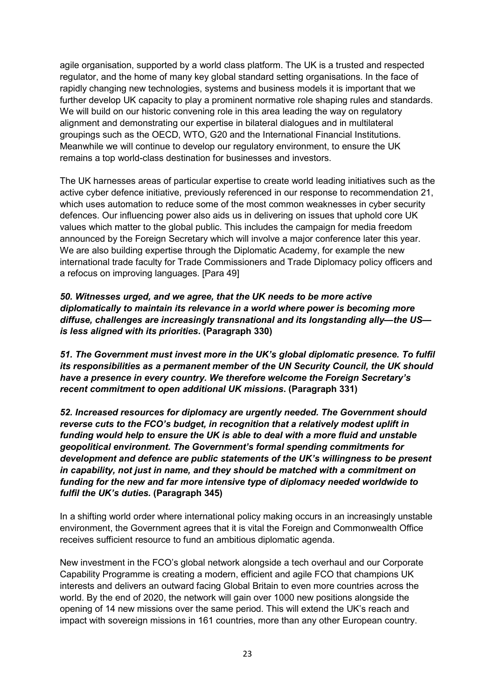agile organisation, supported by a world class platform. The UK is a trusted and respected regulator, and the home of many key global standard setting organisations. In the face of rapidly changing new technologies, systems and business models it is important that we further develop UK capacity to play a prominent normative role shaping rules and standards. We will build on our historic convening role in this area leading the way on regulatory alignment and demonstrating our expertise in bilateral dialogues and in multilateral groupings such as the OECD, WTO, G20 and the International Financial Institutions. Meanwhile we will continue to develop our regulatory environment, to ensure the UK remains a top world-class destination for businesses and investors.

The UK harnesses areas of particular expertise to create world leading initiatives such as the active cyber defence initiative, previously referenced in our response to recommendation 21, which uses automation to reduce some of the most common weaknesses in cyber security defences. Our influencing power also aids us in delivering on issues that uphold core UK values which matter to the global public. This includes the campaign for media freedom announced by the Foreign Secretary which will involve a major conference later this year. We are also building expertise through the Diplomatic Academy, for example the new international trade faculty for Trade Commissioners and Trade Diplomacy policy officers and a refocus on improving languages. [Para 49]

50. Witnesses urged, and we agree, that the UK needs to be more active diplomatically to maintain its relevance in a world where power is becoming more diffuse, challenges are increasingly transnational and its longstanding ally—the US is less aligned with its priorities. (Paragraph 330)

51. The Government must invest more in the UK's global diplomatic presence. To fulfil its responsibilities as a permanent member of the UN Security Council, the UK should have a presence in every country. We therefore welcome the Foreign Secretary's recent commitment to open additional UK missions. (Paragraph 331)

52. Increased resources for diplomacy are urgently needed. The Government should reverse cuts to the FCO's budget, in recognition that a relatively modest uplift in funding would help to ensure the UK is able to deal with a more fluid and unstable geopolitical environment. The Government's formal spending commitments for development and defence are public statements of the UK's willingness to be present in capability, not just in name, and they should be matched with a commitment on funding for the new and far more intensive type of diplomacy needed worldwide to fulfil the UK's duties. (Paragraph 345)

In a shifting world order where international policy making occurs in an increasingly unstable environment, the Government agrees that it is vital the Foreign and Commonwealth Office receives sufficient resource to fund an ambitious diplomatic agenda.

New investment in the FCO's global network alongside a tech overhaul and our Corporate Capability Programme is creating a modern, efficient and agile FCO that champions UK interests and delivers an outward facing Global Britain to even more countries across the world. By the end of 2020, the network will gain over 1000 new positions alongside the opening of 14 new missions over the same period. This will extend the UK's reach and impact with sovereign missions in 161 countries, more than any other European country.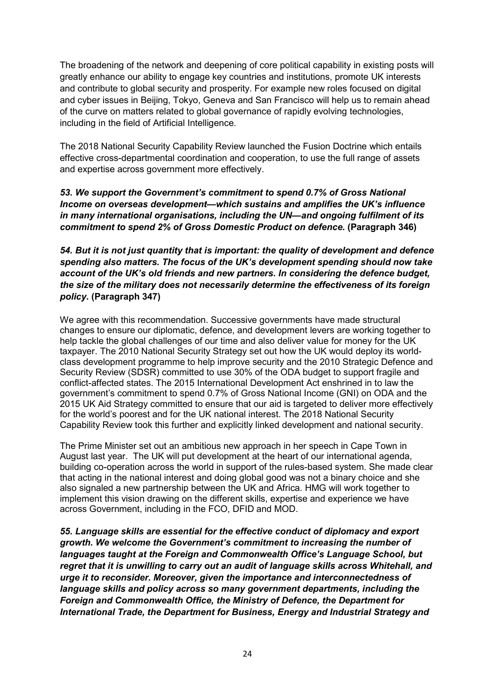The broadening of the network and deepening of core political capability in existing posts will greatly enhance our ability to engage key countries and institutions, promote UK interests and contribute to global security and prosperity. For example new roles focused on digital and cyber issues in Beijing, Tokyo, Geneva and San Francisco will help us to remain ahead of the curve on matters related to global governance of rapidly evolving technologies, including in the field of Artificial Intelligence.

The 2018 National Security Capability Review launched the Fusion Doctrine which entails effective cross-departmental coordination and cooperation, to use the full range of assets and expertise across government more effectively.

53. We support the Government's commitment to spend 0.7% of Gross National Income on overseas development—which sustains and amplifies the UK's influence in many international organisations, including the UN—and ongoing fulfilment of its commitment to spend 2% of Gross Domestic Product on defence. (Paragraph 346)

54. But it is not just quantity that is important: the quality of development and defence spending also matters. The focus of the UK's development spending should now take account of the UK's old friends and new partners. In considering the defence budget, the size of the military does not necessarily determine the effectiveness of its foreign policy. (Paragraph 347)

We agree with this recommendation. Successive governments have made structural changes to ensure our diplomatic, defence, and development levers are working together to help tackle the global challenges of our time and also deliver value for money for the UK taxpayer. The 2010 National Security Strategy set out how the UK would deploy its worldclass development programme to help improve security and the 2010 Strategic Defence and Security Review (SDSR) committed to use 30% of the ODA budget to support fragile and conflict-affected states. The 2015 International Development Act enshrined in to law the government's commitment to spend 0.7% of Gross National Income (GNI) on ODA and the 2015 UK Aid Strategy committed to ensure that our aid is targeted to deliver more effectively for the world's poorest and for the UK national interest. The 2018 National Security Capability Review took this further and explicitly linked development and national security.

The Prime Minister set out an ambitious new approach in her speech in Cape Town in August last year. The UK will put development at the heart of our international agenda, building co-operation across the world in support of the rules-based system. She made clear that acting in the national interest and doing global good was not a binary choice and she also signaled a new partnership between the UK and Africa. HMG will work together to implement this vision drawing on the different skills, expertise and experience we have across Government, including in the FCO, DFID and MOD.

55. Language skills are essential for the effective conduct of diplomacy and export growth. We welcome the Government's commitment to increasing the number of languages taught at the Foreign and Commonwealth Office's Language School, but regret that it is unwilling to carry out an audit of language skills across Whitehall, and urge it to reconsider. Moreover, given the importance and interconnectedness of language skills and policy across so many government departments, including the Foreign and Commonwealth Office, the Ministry of Defence, the Department for International Trade, the Department for Business, Energy and Industrial Strategy and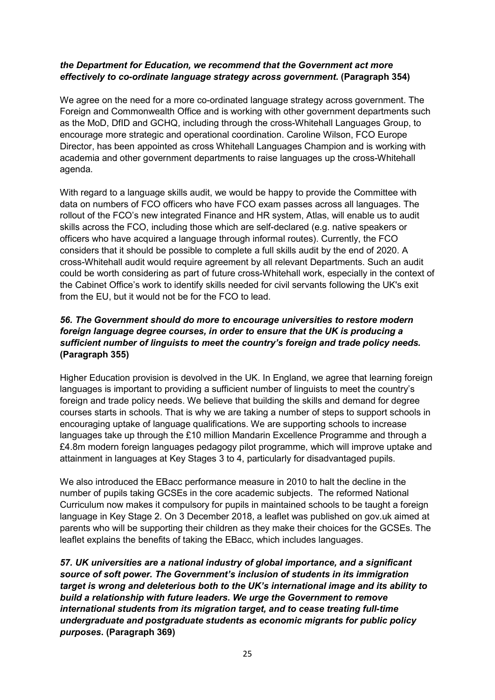#### the Department for Education, we recommend that the Government act more effectively to co-ordinate language strategy across government. (Paragraph 354)

We agree on the need for a more co-ordinated language strategy across government. The Foreign and Commonwealth Office and is working with other government departments such as the MoD, DfID and GCHQ, including through the cross-Whitehall Languages Group, to encourage more strategic and operational coordination. Caroline Wilson, FCO Europe Director, has been appointed as cross Whitehall Languages Champion and is working with academia and other government departments to raise languages up the cross-Whitehall agenda.

With regard to a language skills audit, we would be happy to provide the Committee with data on numbers of FCO officers who have FCO exam passes across all languages. The rollout of the FCO's new integrated Finance and HR system, Atlas, will enable us to audit skills across the FCO, including those which are self-declared (e.g. native speakers or officers who have acquired a language through informal routes). Currently, the FCO considers that it should be possible to complete a full skills audit by the end of 2020. A cross-Whitehall audit would require agreement by all relevant Departments. Such an audit could be worth considering as part of future cross-Whitehall work, especially in the context of the Cabinet Office's work to identify skills needed for civil servants following the UK's exit from the EU, but it would not be for the FCO to lead.

# 56. The Government should do more to encourage universities to restore modern foreign language degree courses, in order to ensure that the UK is producing a sufficient number of linguists to meet the country's foreign and trade policy needs. (Paragraph 355)

Higher Education provision is devolved in the UK. In England, we agree that learning foreign languages is important to providing a sufficient number of linguists to meet the country's foreign and trade policy needs. We believe that building the skills and demand for degree courses starts in schools. That is why we are taking a number of steps to support schools in encouraging uptake of language qualifications. We are supporting schools to increase languages take up through the £10 million Mandarin Excellence Programme and through a £4.8m modern foreign languages pedagogy pilot programme, which will improve uptake and attainment in languages at Key Stages 3 to 4, particularly for disadvantaged pupils.

We also introduced the EBacc performance measure in 2010 to halt the decline in the number of pupils taking GCSEs in the core academic subjects. The reformed National Curriculum now makes it compulsory for pupils in maintained schools to be taught a foreign language in Key Stage 2. On 3 December 2018, a leaflet was published on gov.uk aimed at parents who will be supporting their children as they make their choices for the GCSEs. The leaflet explains the benefits of taking the EBacc, which includes languages.

57. UK universities are a national industry of global importance, and a significant source of soft power. The Government's inclusion of students in its immigration target is wrong and deleterious both to the UK's international image and its ability to build a relationship with future leaders. We urge the Government to remove international students from its migration target, and to cease treating full-time undergraduate and postgraduate students as economic migrants for public policy purposes. (Paragraph 369)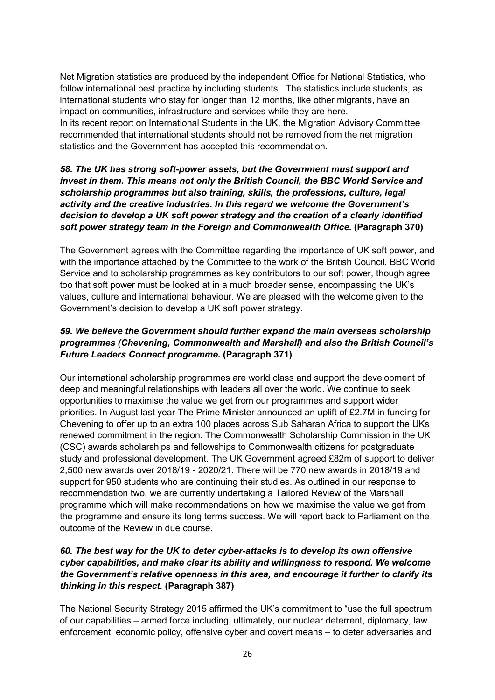Net Migration statistics are produced by the independent Office for National Statistics, who follow international best practice by including students. The statistics include students, as international students who stay for longer than 12 months, like other migrants, have an impact on communities, infrastructure and services while they are here. In its recent report on International Students in the UK, the Migration Advisory Committee

recommended that international students should not be removed from the net migration statistics and the Government has accepted this recommendation.

### 58. The UK has strong soft-power assets, but the Government must support and invest in them. This means not only the British Council, the BBC World Service and scholarship programmes but also training, skills, the professions, culture, legal activity and the creative industries. In this regard we welcome the Government's decision to develop a UK soft power strategy and the creation of a clearly identified soft power strategy team in the Foreign and Commonwealth Office. (Paragraph 370)

The Government agrees with the Committee regarding the importance of UK soft power, and with the importance attached by the Committee to the work of the British Council, BBC World Service and to scholarship programmes as key contributors to our soft power, though agree too that soft power must be looked at in a much broader sense, encompassing the UK's values, culture and international behaviour. We are pleased with the welcome given to the Government's decision to develop a UK soft power strategy.

# 59. We believe the Government should further expand the main overseas scholarship programmes (Chevening, Commonwealth and Marshall) and also the British Council's Future Leaders Connect programme. (Paragraph 371)

Our international scholarship programmes are world class and support the development of deep and meaningful relationships with leaders all over the world. We continue to seek opportunities to maximise the value we get from our programmes and support wider priorities. In August last year The Prime Minister announced an uplift of £2.7M in funding for Chevening to offer up to an extra 100 places across Sub Saharan Africa to support the UKs renewed commitment in the region. The Commonwealth Scholarship Commission in the UK (CSC) awards scholarships and fellowships to Commonwealth citizens for postgraduate study and professional development. The UK Government agreed £82m of support to deliver 2,500 new awards over 2018/19 - 2020/21. There will be 770 new awards in 2018/19 and support for 950 students who are continuing their studies. As outlined in our response to recommendation two, we are currently undertaking a Tailored Review of the Marshall programme which will make recommendations on how we maximise the value we get from the programme and ensure its long terms success. We will report back to Parliament on the outcome of the Review in due course.

# 60. The best way for the UK to deter cyber-attacks is to develop its own offensive cyber capabilities, and make clear its ability and willingness to respond. We welcome the Government's relative openness in this area, and encourage it further to clarify its thinking in this respect. (Paragraph 387)

The National Security Strategy 2015 affirmed the UK's commitment to "use the full spectrum of our capabilities – armed force including, ultimately, our nuclear deterrent, diplomacy, law enforcement, economic policy, offensive cyber and covert means – to deter adversaries and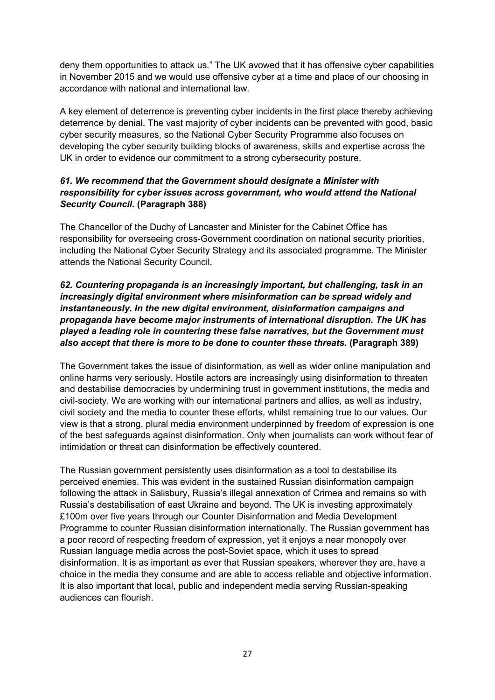deny them opportunities to attack us." The UK avowed that it has offensive cyber capabilities in November 2015 and we would use offensive cyber at a time and place of our choosing in accordance with national and international law.

A key element of deterrence is preventing cyber incidents in the first place thereby achieving deterrence by denial. The vast majority of cyber incidents can be prevented with good, basic cyber security measures, so the National Cyber Security Programme also focuses on developing the cyber security building blocks of awareness, skills and expertise across the UK in order to evidence our commitment to a strong cybersecurity posture.

## 61. We recommend that the Government should designate a Minister with responsibility for cyber issues across government, who would attend the National Security Council. (Paragraph 388)

The Chancellor of the Duchy of Lancaster and Minister for the Cabinet Office has responsibility for overseeing cross-Government coordination on national security priorities, including the National Cyber Security Strategy and its associated programme. The Minister attends the National Security Council.

## 62. Countering propaganda is an increasingly important, but challenging, task in an increasingly digital environment where misinformation can be spread widely and instantaneously. In the new digital environment, disinformation campaigns and propaganda have become major instruments of international disruption. The UK has played a leading role in countering these false narratives, but the Government must also accept that there is more to be done to counter these threats. (Paragraph 389)

The Government takes the issue of disinformation, as well as wider online manipulation and online harms very seriously. Hostile actors are increasingly using disinformation to threaten and destabilise democracies by undermining trust in government institutions, the media and civil-society. We are working with our international partners and allies, as well as industry, civil society and the media to counter these efforts, whilst remaining true to our values. Our view is that a strong, plural media environment underpinned by freedom of expression is one of the best safeguards against disinformation. Only when journalists can work without fear of intimidation or threat can disinformation be effectively countered.

The Russian government persistently uses disinformation as a tool to destabilise its perceived enemies. This was evident in the sustained Russian disinformation campaign following the attack in Salisbury, Russia's illegal annexation of Crimea and remains so with Russia's destabilisation of east Ukraine and beyond. The UK is investing approximately £100m over five years through our Counter Disinformation and Media Development Programme to counter Russian disinformation internationally. The Russian government has a poor record of respecting freedom of expression, yet it enjoys a near monopoly over Russian language media across the post-Soviet space, which it uses to spread disinformation. It is as important as ever that Russian speakers, wherever they are, have a choice in the media they consume and are able to access reliable and objective information. It is also important that local, public and independent media serving Russian-speaking audiences can flourish.